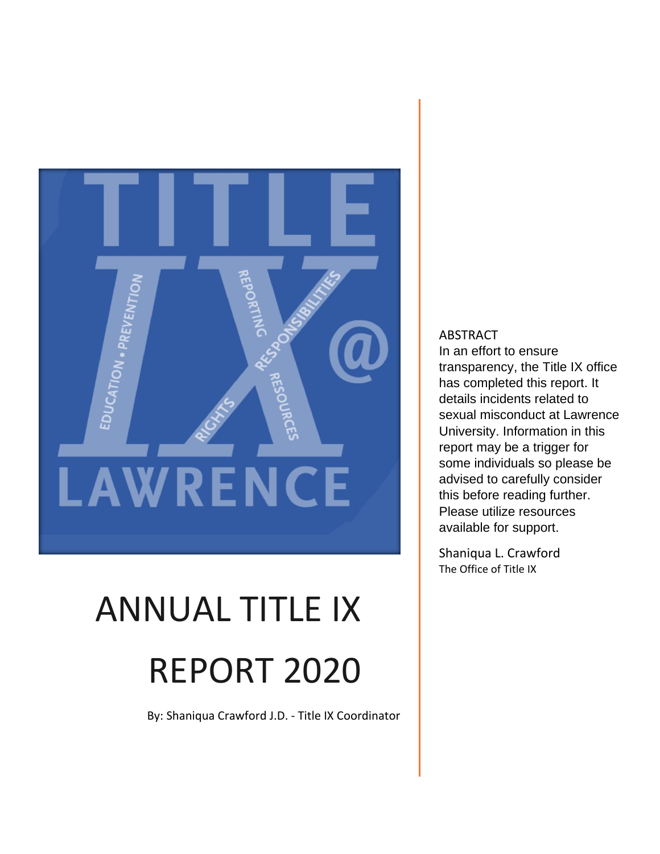

# ANNUAL TITLE IX REPORT 2020

By: Shaniqua Crawford J.D. - Title IX Coordinator

#### ABSTRACT

In an effort to ensure transparency, the Title IX office has completed this report. It details incidents related to sexual misconduct at Lawrence University. Information in this report may be a trigger for some individuals so please be advised to carefully consider this before reading further. Please utilize resources available for support.

Shaniqua L. Crawford The Office of Title IX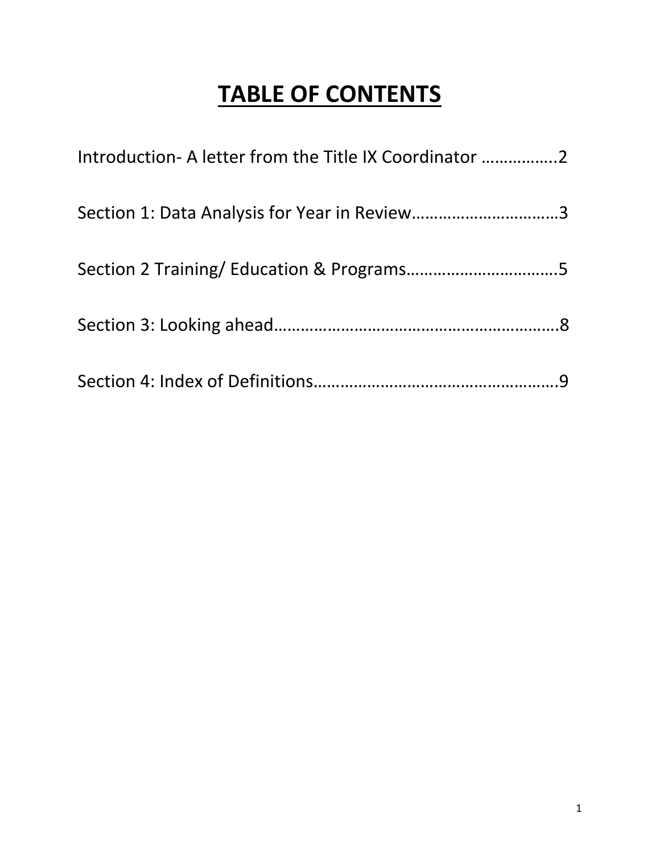# **TABLE OF CONTENTS**

| Introduction-A letter from the Title IX Coordinator 2 |  |
|-------------------------------------------------------|--|
| Section 1: Data Analysis for Year in Review3          |  |
| Section 2 Training/ Education & Programs5             |  |
|                                                       |  |
|                                                       |  |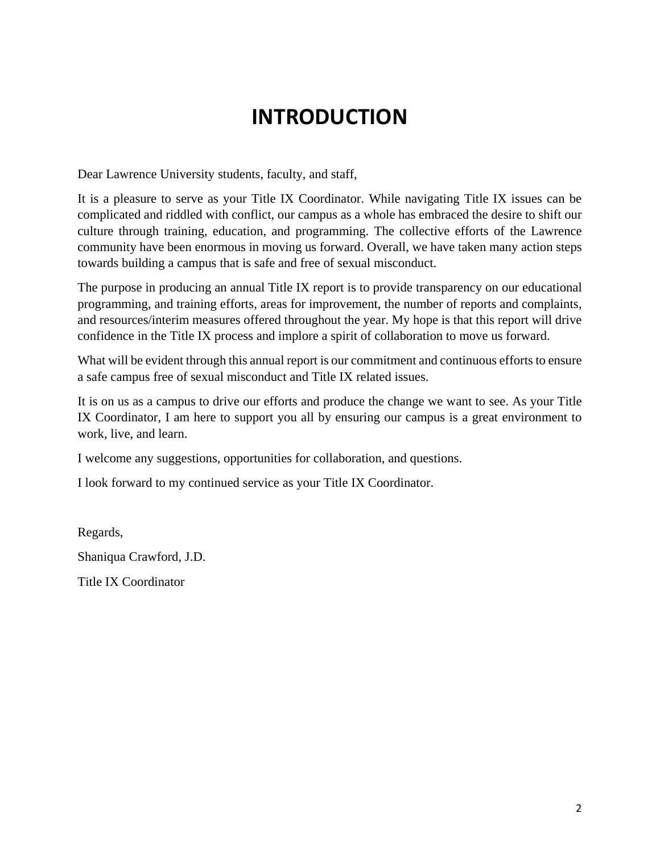### **INTRODUCTION**

Dear Lawrence University students, faculty, and staff,

It is a pleasure to serve as your Title IX Coordinator. While navigating Title IX issues can be complicated and riddled with conflict, our campus as a whole has embraced the desire to shift our culture through training, education, and programming. The collective efforts of the Lawrence community have been enormous in moving us forward. Overall, we have taken many action steps towards building a campus that is safe and free of sexual misconduct.

The purpose in producing an annual Title IX report is to provide transparency on our educational programming, and training efforts, areas for improvement, the number of reports and complaints, and resources/interim measures offered throughout the year. My hope is that this report will drive confidence in the Title IX process and implore a spirit of collaboration to move us forward.

What will be evident through this annual report is our commitment and continuous efforts to ensure a safe campus free of sexual misconduct and Title IX related issues.

It is on us as a campus to drive our efforts and produce the change we want to see. As your Title IX Coordinator, I am here to support you all by ensuring our campus is a great environment to work, live, and learn.

I welcome any suggestions, opportunities for collaboration, and questions.

I look forward to my continued service as your Title IX Coordinator.

Regards, Shaniqua Crawford, J.D.

Title IX Coordinator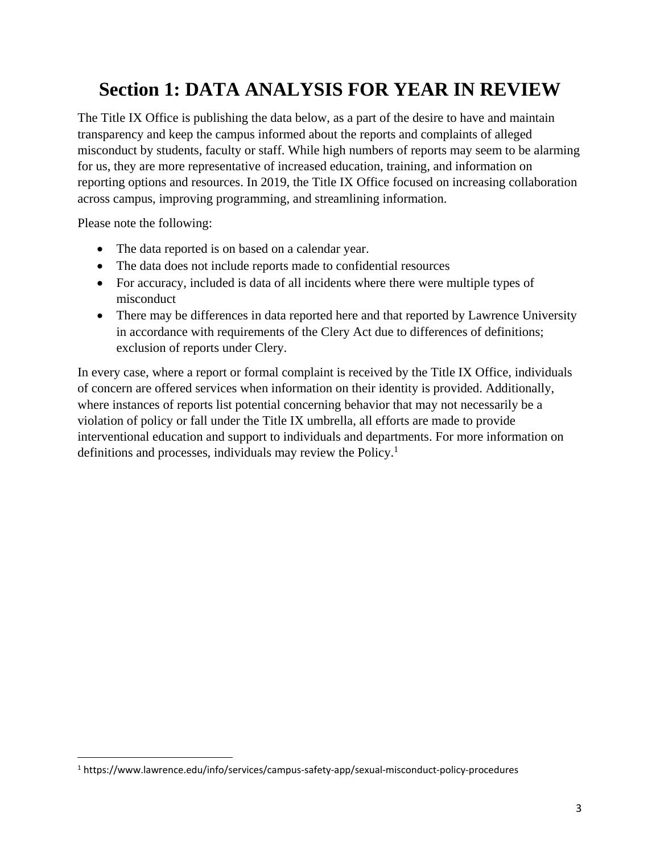### **Section 1: DATA ANALYSIS FOR YEAR IN REVIEW**

The Title IX Office is publishing the data below, as a part of the desire to have and maintain transparency and keep the campus informed about the reports and complaints of alleged misconduct by students, faculty or staff. While high numbers of reports may seem to be alarming for us, they are more representative of increased education, training, and information on reporting options and resources. In 2019, the Title IX Office focused on increasing collaboration across campus, improving programming, and streamlining information.

Please note the following:

 $\overline{a}$ 

- The data reported is on based on a calendar year.
- The data does not include reports made to confidential resources
- For accuracy, included is data of all incidents where there were multiple types of misconduct
- There may be differences in data reported here and that reported by Lawrence University in accordance with requirements of the Clery Act due to differences of definitions; exclusion of reports under Clery.

In every case, where a report or formal complaint is received by the Title IX Office, individuals of concern are offered services when information on their identity is provided. Additionally, where instances of reports list potential concerning behavior that may not necessarily be a violation of policy or fall under the Title IX umbrella, all efforts are made to provide interventional education and support to individuals and departments. For more information on definitions and processes, individuals may review the Policy.<sup>1</sup>

<sup>1</sup> https://www.lawrence.edu/info/services/campus-safety-app/sexual-misconduct-policy-procedures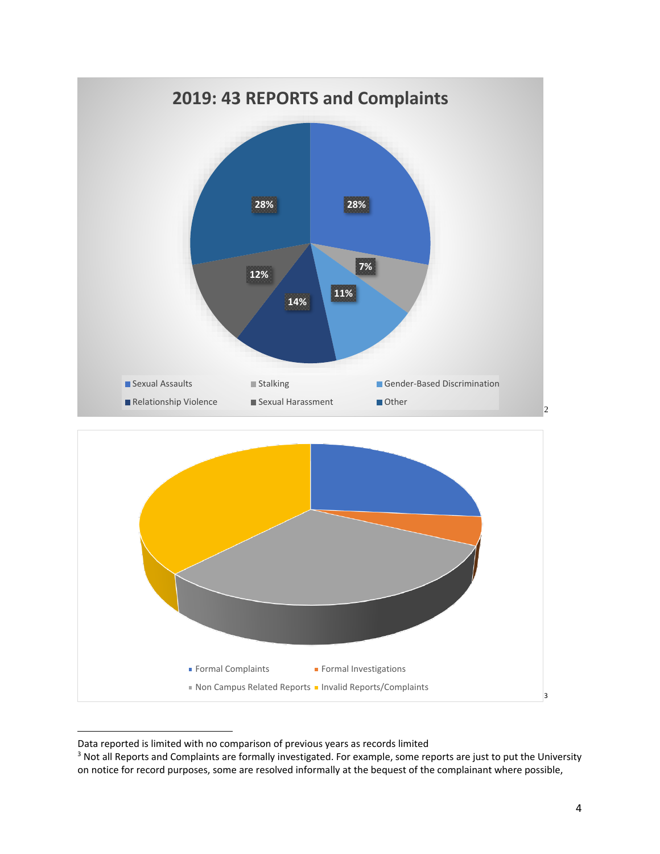



Data reported is limited with no comparison of previous years as records limited

 $\overline{\phantom{a}}$ 

<sup>&</sup>lt;sup>3</sup> Not all Reports and Complaints are formally investigated. For example, some reports are just to put the University on notice for record purposes, some are resolved informally at the bequest of the complainant where possible,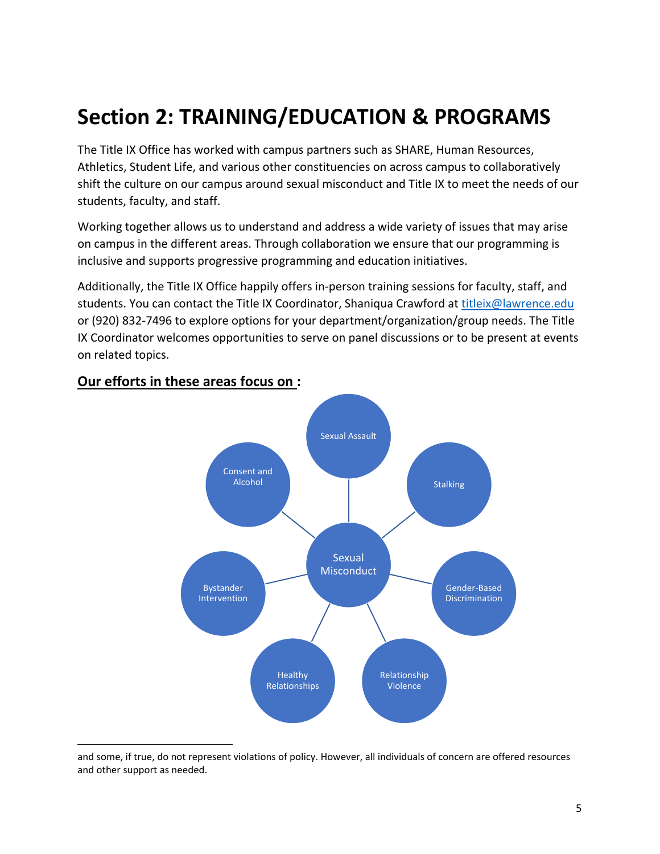# **Section 2: TRAINING/EDUCATION & PROGRAMS**

The Title IX Office has worked with campus partners such as SHARE, Human Resources, Athletics, Student Life, and various other constituencies on across campus to collaboratively shift the culture on our campus around sexual misconduct and Title IX to meet the needs of our students, faculty, and staff.

Working together allows us to understand and address a wide variety of issues that may arise on campus in the different areas. Through collaboration we ensure that our programming is inclusive and supports progressive programming and education initiatives.

Additionally, the Title IX Office happily offers in-person training sessions for faculty, staff, and students. You can contact the Title IX Coordinator, Shaniqua Crawford at [titleix@lawrence.edu](mailto:titleix@lawrence.edu) or (920) 832-7496 to explore options for your department/organization/group needs. The Title IX Coordinator welcomes opportunities to serve on panel discussions or to be present at events on related topics.



#### **Our efforts in these areas focus on :**

 $\overline{\phantom{a}}$ 

and some, if true, do not represent violations of policy. However, all individuals of concern are offered resources and other support as needed.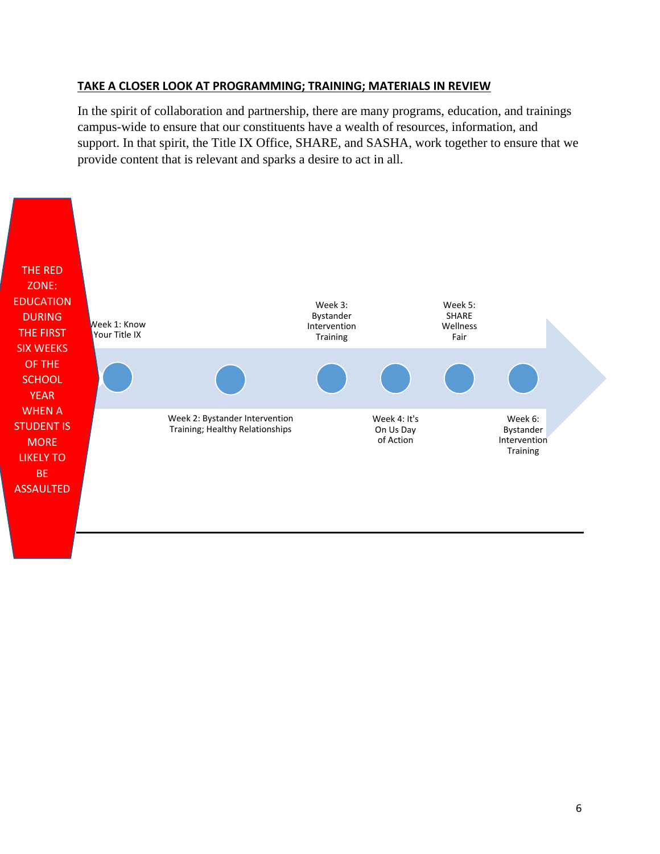#### **TAKE A CLOSER LOOK AT PROGRAMMING; TRAINING; MATERIALS IN REVIEW**

In the spirit of collaboration and partnership, there are many programs, education, and trainings campus-wide to ensure that our constituents have a wealth of resources, information, and support. In that spirit, the Title IX Office, SHARE, and SASHA, work together to ensure that we provide content that is relevant and sparks a desire to act in all.

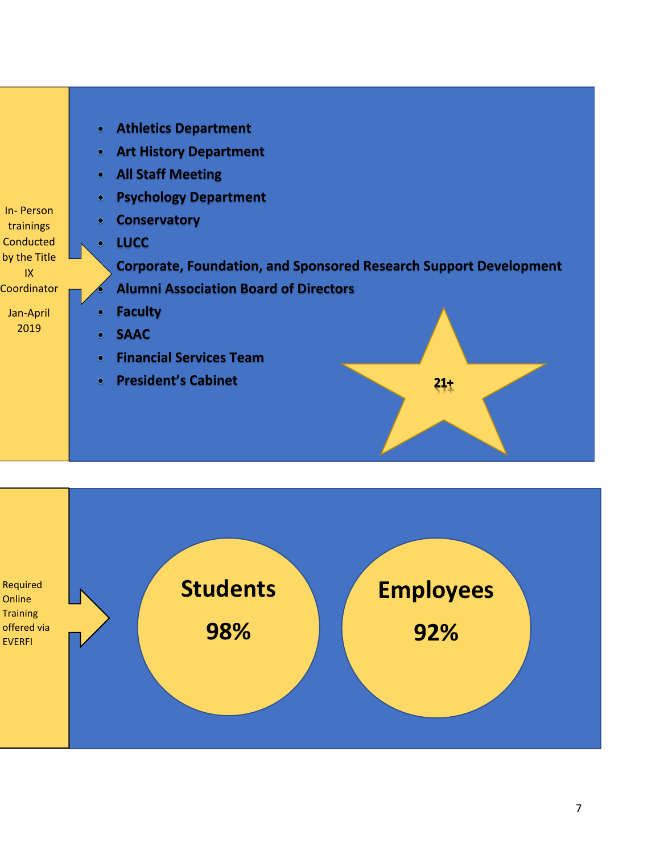

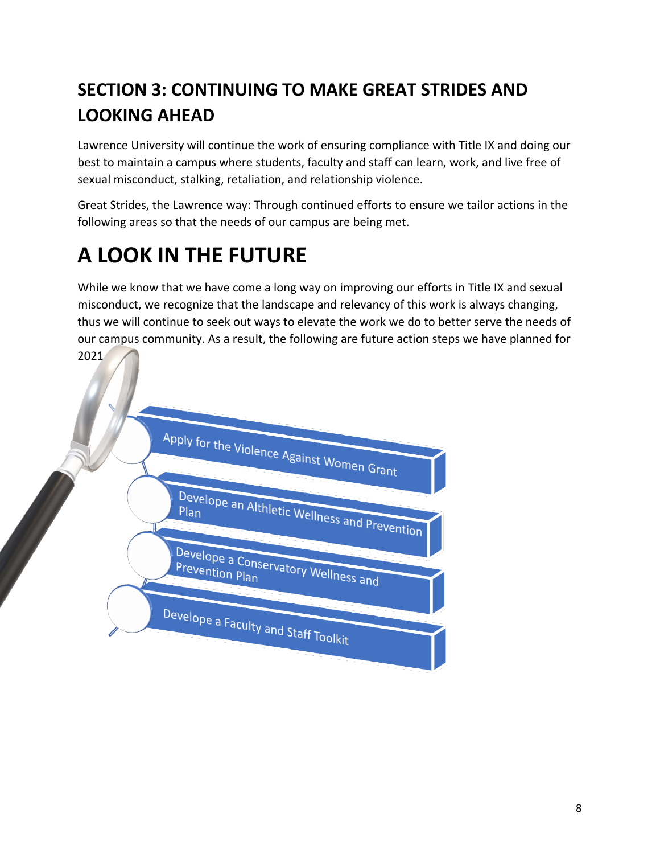### **SECTION 3: CONTINUING TO MAKE GREAT STRIDES AND LOOKING AHEAD**

Lawrence University will continue the work of ensuring compliance with Title IX and doing our best to maintain a campus where students, faculty and staff can learn, work, and live free of sexual misconduct, stalking, retaliation, and relationship violence.

Great Strides, the Lawrence way: Through continued efforts to ensure we tailor actions in the following areas so that the needs of our campus are being met.

# **A LOOK IN THE FUTURE**

While we know that we have come a long way on improving our efforts in Title IX and sexual misconduct, we recognize that the landscape and relevancy of this work is always changing, thus we will continue to seek out ways to elevate the work we do to better serve the needs of our campus community. As a result, the following are future action steps we have planned for 2021.

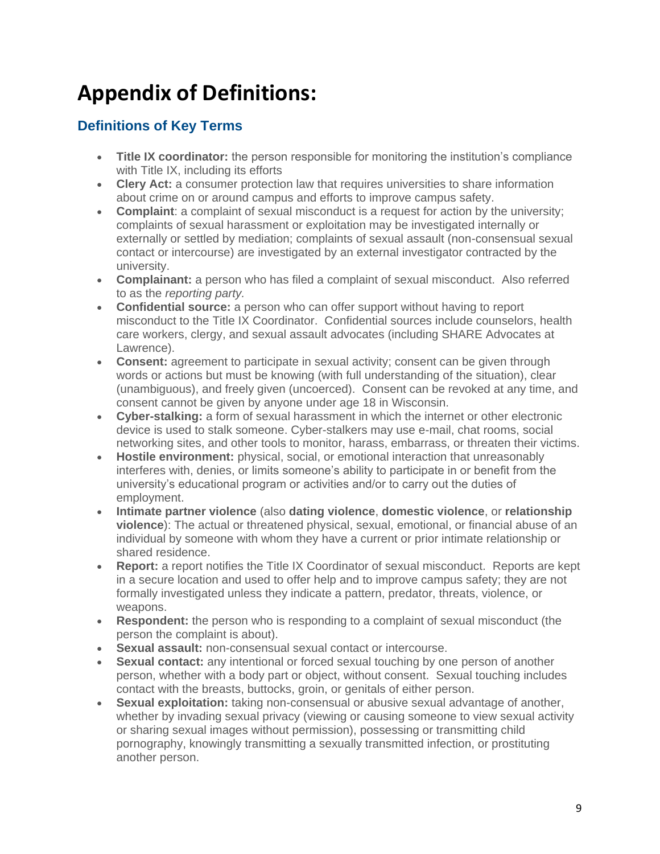## **Appendix of Definitions:**

#### **Definitions of Key Terms**

- **Title IX coordinator:** the person responsible for monitoring the institution's compliance with Title IX, including its efforts
- **Clery Act:** a consumer protection law that requires universities to share information about crime on or around campus and efforts to improve campus safety.
- **Complaint**: a complaint of sexual misconduct is a request for action by the university; complaints of sexual harassment or exploitation may be investigated internally or externally or settled by mediation; complaints of sexual assault (non-consensual sexual contact or intercourse) are investigated by an external investigator contracted by the university.
- **Complainant:** a person who has filed a complaint of sexual misconduct. Also referred to as the *reporting party.*
- **Confidential source:** a person who can offer support without having to report misconduct to the Title IX Coordinator. Confidential sources include counselors, health care workers, clergy, and sexual assault advocates (including SHARE Advocates at Lawrence).
- **Consent:** agreement to participate in sexual activity; consent can be given through words or actions but must be knowing (with full understanding of the situation), clear (unambiguous), and freely given (uncoerced). Consent can be revoked at any time, and consent cannot be given by anyone under age 18 in Wisconsin.
- **Cyber-stalking:** a form of sexual harassment in which the internet or other electronic device is used to stalk someone. Cyber-stalkers may use e-mail, chat rooms, social networking sites, and other tools to monitor, harass, embarrass, or threaten their victims.
- **Hostile environment:** physical, social, or emotional interaction that unreasonably interferes with, denies, or limits someone's ability to participate in or benefit from the university's educational program or activities and/or to carry out the duties of employment.
- **Intimate partner violence** (also **dating violence**, **domestic violence**, or **relationship violence**): The actual or threatened physical, sexual, emotional, or financial abuse of an individual by someone with whom they have a current or prior intimate relationship or shared residence.
- **Report:** a report notifies the Title IX Coordinator of sexual misconduct. Reports are kept in a secure location and used to offer help and to improve campus safety; they are not formally investigated unless they indicate a pattern, predator, threats, violence, or weapons.
- **Respondent:** the person who is responding to a complaint of sexual misconduct (the person the complaint is about).
- **Sexual assault:** non-consensual sexual contact or intercourse.
- **Sexual contact:** any intentional or forced sexual touching by one person of another person, whether with a body part or object, without consent. Sexual touching includes contact with the breasts, buttocks, groin, or genitals of either person.
- **Sexual exploitation:** taking non-consensual or abusive sexual advantage of another, whether by invading sexual privacy (viewing or causing someone to view sexual activity or sharing sexual images without permission), possessing or transmitting child pornography, knowingly transmitting a sexually transmitted infection, or prostituting another person.